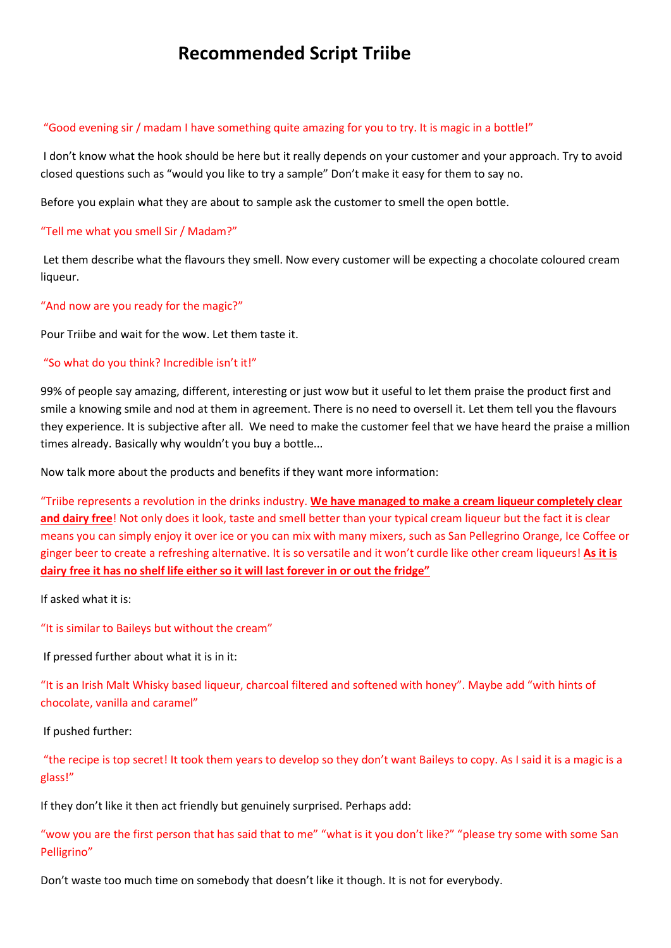# **Recommended Script Triibe**

### "Good evening sir / madam I have something quite amazing for you to try. It is magic in a bottle!"

I don't know what the hook should be here but it really depends on your customer and your approach. Try to avoid closed questions such as "would you like to try a sample" Don't make it easy for them to say no.

Before you explain what they are about to sample ask the customer to smell the open bottle.

### "Tell me what you smell Sir / Madam?"

Let them describe what the flavours they smell. Now every customer will be expecting a chocolate coloured cream liqueur.

"And now are you ready for the magic?"

Pour Triibe and wait for the wow. Let them taste it.

#### "So what do you think? Incredible isn't it!"

99% of people say amazing, different, interesting or just wow but it useful to let them praise the product first and smile a knowing smile and nod at them in agreement. There is no need to oversell it. Let them tell you the flavours they experience. It is subjective after all. We need to make the customer feel that we have heard the praise a million times already. Basically why wouldn't you buy a bottle...

Now talk more about the products and benefits if they want more information:

"Triibe represents a revolution in the drinks industry. **We have managed to make a cream liqueur completely clear and dairy free**! Not only does it look, taste and smell better than your typical cream liqueur but the fact it is clear means you can simply enjoy it over ice or you can mix with many mixers, such as San Pellegrino Orange, Ice Coffee or ginger beer to create a refreshing alternative. It is so versatile and it won't curdle like other cream liqueurs! **As it is dairy free it has no shelf life either so it will last forever in or out the fridge"**

If asked what it is:

"It is similar to Baileys but without the cream"

If pressed further about what it is in it:

"It is an Irish Malt Whisky based liqueur, charcoal filtered and softened with honey". Maybe add "with hints of chocolate, vanilla and caramel"

If pushed further:

"the recipe is top secret! It took them years to develop so they don't want Baileys to copy. As I said it is a magic is a glass!"

If they don't like it then act friendly but genuinely surprised. Perhaps add:

"wow you are the first person that has said that to me" "what is it you don't like?" "please try some with some San Pelligrino"

Don't waste too much time on somebody that doesn't like it though. It is not for everybody.